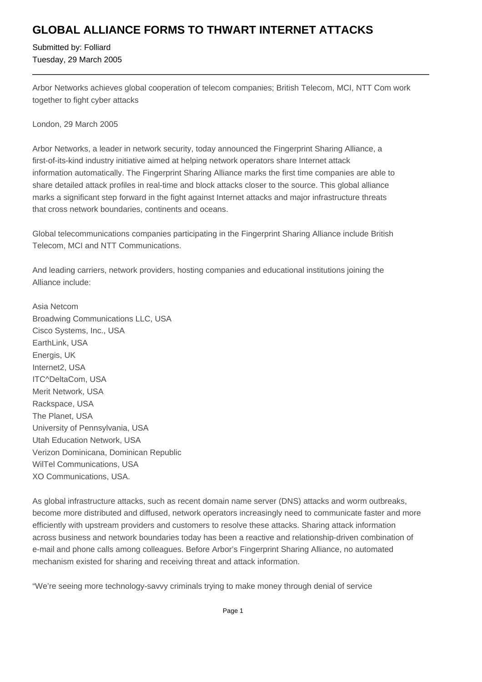## **GLOBAL ALLIANCE FORMS TO THWART INTERNET ATTACKS**

Submitted by: Folliard Tuesday, 29 March 2005

Arbor Networks achieves global cooperation of telecom companies; British Telecom, MCI, NTT Com work together to fight cyber attacks

London, 29 March 2005

Arbor Networks, a leader in network security, today announced the Fingerprint Sharing Alliance, a first-of-its-kind industry initiative aimed at helping network operators share Internet attack information automatically. The Fingerprint Sharing Alliance marks the first time companies are able to share detailed attack profiles in real-time and block attacks closer to the source. This global alliance marks a significant step forward in the fight against Internet attacks and major infrastructure threats that cross network boundaries, continents and oceans.

Global telecommunications companies participating in the Fingerprint Sharing Alliance include British Telecom, MCI and NTT Communications.

And leading carriers, network providers, hosting companies and educational institutions joining the Alliance include:

Asia Netcom Broadwing Communications LLC, USA Cisco Systems, Inc., USA EarthLink, USA Energis, UK Internet2, USA ITC^DeltaCom, USA Merit Network, USA Rackspace, USA The Planet, USA University of Pennsylvania, USA Utah Education Network, USA Verizon Dominicana, Dominican Republic WilTel Communications, USA XO Communications, USA.

As global infrastructure attacks, such as recent domain name server (DNS) attacks and worm outbreaks, become more distributed and diffused, network operators increasingly need to communicate faster and more efficiently with upstream providers and customers to resolve these attacks. Sharing attack information across business and network boundaries today has been a reactive and relationship-driven combination of e-mail and phone calls among colleagues. Before Arbor's Fingerprint Sharing Alliance, no automated mechanism existed for sharing and receiving threat and attack information.

"We're seeing more technology-savvy criminals trying to make money through denial of service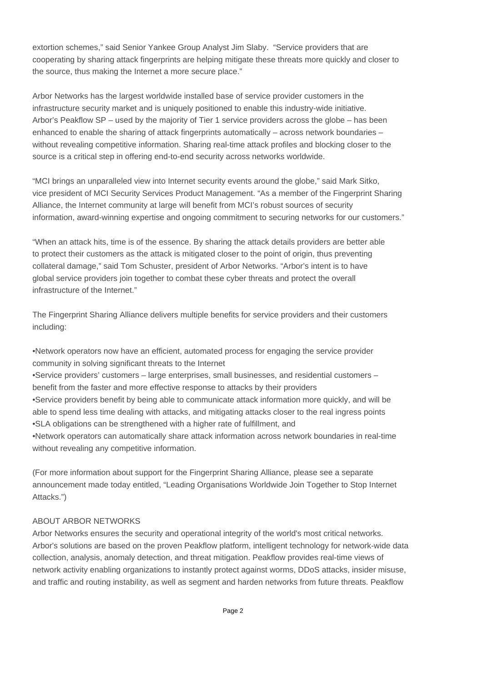extortion schemes," said Senior Yankee Group Analyst Jim Slaby. "Service providers that are cooperating by sharing attack fingerprints are helping mitigate these threats more quickly and closer to the source, thus making the Internet a more secure place."

Arbor Networks has the largest worldwide installed base of service provider customers in the infrastructure security market and is uniquely positioned to enable this industry-wide initiative. Arbor's Peakflow SP – used by the majority of Tier 1 service providers across the globe – has been enhanced to enable the sharing of attack fingerprints automatically – across network boundaries – without revealing competitive information. Sharing real-time attack profiles and blocking closer to the source is a critical step in offering end-to-end security across networks worldwide.

"MCI brings an unparalleled view into Internet security events around the globe," said Mark Sitko, vice president of MCI Security Services Product Management. "As a member of the Fingerprint Sharing Alliance, the Internet community at large will benefit from MCI's robust sources of security information, award-winning expertise and ongoing commitment to securing networks for our customers."

"When an attack hits, time is of the essence. By sharing the attack details providers are better able to protect their customers as the attack is mitigated closer to the point of origin, thus preventing collateral damage," said Tom Schuster, president of Arbor Networks. "Arbor's intent is to have global service providers join together to combat these cyber threats and protect the overall infrastructure of the Internet."

The Fingerprint Sharing Alliance delivers multiple benefits for service providers and their customers including:

- • Network operators now have an efficient, automated process for engaging the service provider community in solving significant threats to the Internet
- • Service providers' customers large enterprises, small businesses, and residential customers benefit from the faster and more effective response to attacks by their providers
- • Service providers benefit by being able to communicate attack information more quickly, and will be able to spend less time dealing with attacks, and mitigating attacks closer to the real ingress points
- SLA obligations can be strengthened with a higher rate of fulfillment, and
- • Network operators can automatically share attack information across network boundaries in real-time without revealing any competitive information.

(For more information about support for the Fingerprint Sharing Alliance, please see a separate announcement made today entitled, "Leading Organisations Worldwide Join Together to Stop Internet Attacks.")

## ABOUT ARBOR NETWORKS

Arbor Networks ensures the security and operational integrity of the world's most critical networks. Arbor's solutions are based on the proven Peakflow platform, intelligent technology for network-wide data collection, analysis, anomaly detection, and threat mitigation. Peakflow provides real-time views of network activity enabling organizations to instantly protect against worms, DDoS attacks, insider misuse, and traffic and routing instability, as well as segment and harden networks from future threats. Peakflow